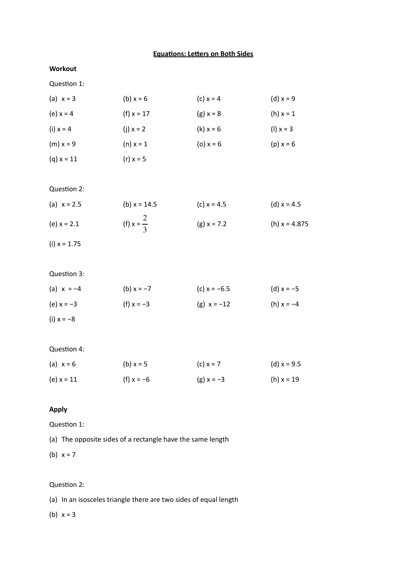### **Equations: Letters on Both Sides**

#### **Workout**

Question 1:

| (a) $x = 3$  | (b) $x = 6$  | (c) $x = 4$ | (d) $x = 9$ |
|--------------|--------------|-------------|-------------|
| (e) $x = 4$  | (f) $x = 17$ | $(g) x = 8$ | (h) $x = 1$ |
| (i) $x = 4$  | (i) $x = 2$  | $(k) x = 6$ | $(1) x = 3$ |
| $(m) x = 9$  | $(n) x = 1$  | (o) $x = 6$ | $(p) x = 6$ |
| $(q) x = 11$ | $(r) x = 5$  |             |             |

Question 2:

| (a) $x = 2.5$ | (b) $x = 14.5$        | (c) $x = 4.5$ | (d) $x = 4.5$   |
|---------------|-----------------------|---------------|-----------------|
| (e) $x = 2.1$ | (f) $x = \frac{2}{3}$ | $(g) x = 7.2$ | (h) $x = 4.875$ |

 $(i) \times = 1.75$ 

Question 3:

| (a) $x = -4$ | (b) $x = -7$ | (c) $x = -6.5$ | (d) $x = -5$ |
|--------------|--------------|----------------|--------------|
| (e) $x = -3$ | (f) $x = -3$ | (g) $x = -12$  | (h) $x = -4$ |
| (i) $x = -8$ |              |                |              |

#### Question 4:

| (a) $x = 6$  | (b) $x = 5$  | (c) $x = 7$  | (d) $x = 9.5$ |
|--------------|--------------|--------------|---------------|
| (e) $x = 11$ | (f) $x = -6$ | (g) $x = -3$ | (h) $x = 19$  |

## **Apply**

Question 1:

(a) The opposite sides of a rectangle have the same length

(b)  $x = 7$ 

## Question 2:

(a) In an isosceles triangle there are two sides of equal length

# (b)  $x = 3$